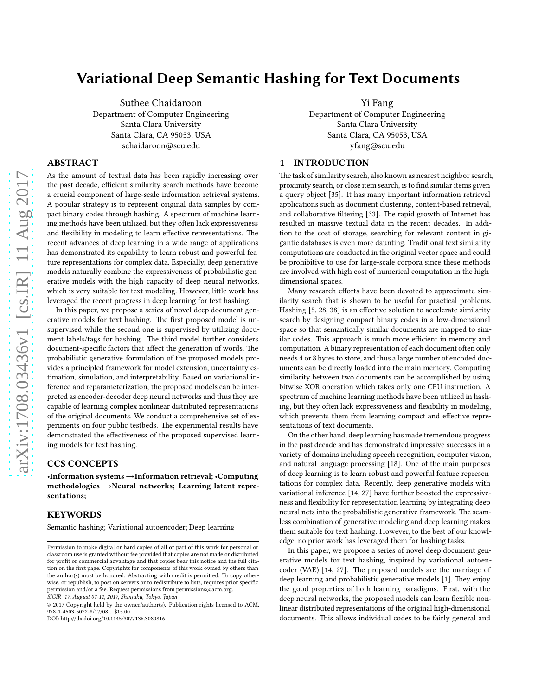# Variational Deep Semantic Hashing for Text Documents

Suthee Chaidaroon Department of Computer Engineering Santa Clara University Santa Clara, CA 95053, USA schaidaroon@scu.edu

# ABSTRACT

As the amount of textual data has been rapidly increasing over the past decade, efficient similarity search methods have become a crucial component of large-scale information retrieval systems. A popular strategy is to represent original data samples by compact binary codes through hashing. A spectrum of machine learning methods have been utilized, but they often lack expressiveness and flexibility in modeling to learn effective representations. The recent advances of deep learning in a wide range of applications has demonstrated its capability to learn robust and powerful feature representations for complex data. Especially, deep generative models naturally combine the expressiveness of probabilistic generative models with the high capacity of deep neural networks, which is very suitable for text modeling. However, little work has leveraged the recent progress in deep learning for text hashing.

In this paper, we propose a series of novel deep document generative models for text hashing. The first proposed model is unsupervised while the second one is supervised by utilizing document labels/tags for hashing. The third model further considers document-specific factors that affect the generation of words. The probabilistic generative formulation of the proposed models provides a principled framework for model extension, uncertainty estimation, simulation, and interpretability. Based on variational inference and reparameterization, the proposed models can be interpreted as encoder-decoder deep neural networks and thus they are capable of learning complex nonlinear distributed representations of the original documents. We conduct a comprehensive set of experiments on four public testbeds. The experimental results have demonstrated the effectiveness of the proposed supervised learning models for text hashing.

#### CCS CONCEPTS

•Information systems →Information retrieval; •Computing methodologies →Neural networks; Learning latent representations;

#### KEYWORDS

Semantic hashing; Variational autoencoder; Deep learning

DOI: http://dx.doi.org/10.1145/3077136.3080816

Yi Fang Department of Computer Engineering Santa Clara University Santa Clara, CA 95053, USA yfang@scu.edu

# 1 INTRODUCTION

The task of similarity search, also known as nearest neighbor search, proximity search, or close item search, is to find similar items given a query object [\[35](#page-10-0)]. It has many important information retrieval applications such as document clustering, content-based retrieval, and collaborative filtering [\[33\]](#page-10-1). The rapid growth of Internet has resulted in massive textual data in the recent decades. In addition to the cost of storage, searching for relevant content in gigantic databases is even more daunting. Traditional text similarity computations are conducted in the original vector space and could be prohibitive to use for large-scale corpora since these methods are involved with high cost of numerical computation in the highdimensional spaces.

Many research efforts have been devoted to approximate similarity search that is shown to be useful for practical problems. Hashing [\[5,](#page-9-0) [28](#page-9-1), [38\]](#page-10-2) is an effective solution to accelerate similarity search by designing compact binary codes in a low-dimensional space so that semantically similar documents are mapped to similar codes. This approach is much more efficient in memory and computation. A binary representation of each document often only needs 4 or 8 bytes to store, and thus a large number of encoded documents can be directly loaded into the main memory. Computing similarity between two documents can be accomplished by using bitwise XOR operation which takes only one CPU instruction. A spectrum of machine learning methods have been utilized in hashing, but they often lack expressiveness and flexibility in modeling, which prevents them from learning compact and effective representations of text documents.

On the other hand, deep learning has made tremendous progress in the past decade and has demonstrated impressive successes in a variety of domains including speech recognition, computer vision, and natural language processing [\[18\]](#page-9-2). One of the main purposes of deep learning is to learn robust and powerful feature representations for complex data. Recently, deep generative models with variational inference [\[14,](#page-9-3) [27](#page-9-4)] have further boosted the expressiveness and flexibility for representation learning by integrating deep neural nets into the probabilistic generative framework. The seamless combination of generative modeling and deep learning makes them suitable for text hashing. However, to the best of our knowledge, no prior work has leveraged them for hashing tasks.

In this paper, we propose a series of novel deep document generative models for text hashing, inspired by variational autoencoder (VAE)  $[14, 27]$  $[14, 27]$  $[14, 27]$ . The proposed models are the marriage of deep learning and probabilistic generative models [\[1\]](#page-9-5). They enjoy the good properties of both learning paradigms. First, with the deep neural networks, the proposed models can learn flexible nonlinear distributed representations of the original high-dimensional documents. This allows individual codes to be fairly general and

Permission to make digital or hard copies of all or part of this work for personal or classroom use is granted without fee provided that copies are not made or distributed for profit or commercial advantage and that copies bear this notice and the full citation on the first page. Copyrights for components of this work owned by others than the author(s) must be honored. Abstracting with credit is permitted. To copy otherwise, or republish, to post on servers or to redistribute to lists, requires prior specific permission and/or a fee. Request permissions from permissions@acm.org. SIGIR '17, August 07-11, 2017, Shinjuku, Tokyo, Japan

<sup>© 2017</sup> Copyright held by the owner/author(s). Publication rights licensed to ACM. 978-1-4503-5022-8/17/08. . . \$15.00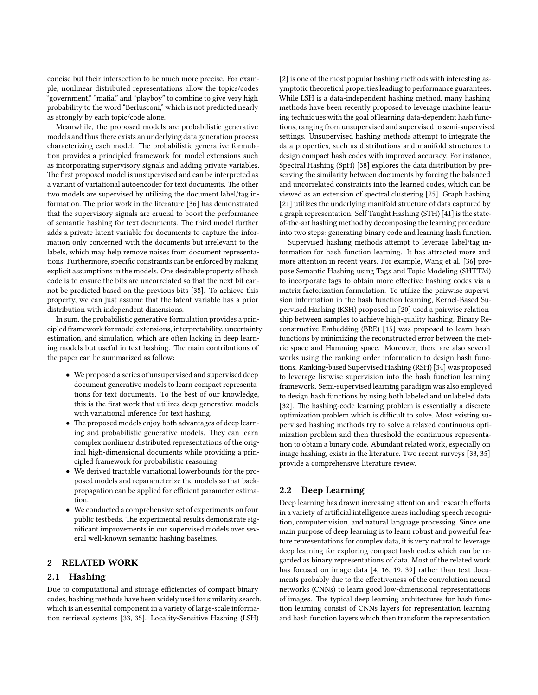concise but their intersection to be much more precise. For example, nonlinear distributed representations allow the topics/codes "government," "mafia," and "playboy" to combine to give very high probability to the word "Berlusconi," which is not predicted nearly as strongly by each topic/code alone.

Meanwhile, the proposed models are probabilistic generative models and thus there exists an underlying data generation process characterizing each model. The probabilistic generative formulation provides a principled framework for model extensions such as incorporating supervisory signals and adding private variables. The first proposed model is unsupervised and can be interpreted as a variant of variational autoencoder for text documents. The other two models are supervised by utilizing the document label/tag in-formation. The prior work in the literature [\[36\]](#page-10-3) has demonstrated that the supervisory signals are crucial to boost the performance of semantic hashing for text documents. The third model further adds a private latent variable for documents to capture the information only concerned with the documents but irrelevant to the labels, which may help remove noises from document representations. Furthermore, specific constraints can be enforced by making explicit assumptions in the models. One desirable property of hash code is to ensure the bits are uncorrelated so that the next bit cannot be predicted based on the previous bits [\[38\]](#page-10-2). To achieve this property, we can just assume that the latent variable has a prior distribution with independent dimensions.

In sum, the probabilistic generative formulation provides a principled framework for model extensions, interpretability, uncertainty estimation, and simulation, which are often lacking in deep learning models but useful in text hashing. The main contributions of the paper can be summarized as follow:

- We proposed a series of unsupervised and supervised deep document generative models to learn compact representations for text documents. To the best of our knowledge, this is the first work that utilizes deep generative models with variational inference for text hashing.
- The proposed models enjoy both advantages of deep learning and probabilistic generative models. They can learn complex nonlinear distributed representations of the original high-dimensional documents while providing a principled framework for probabilistic reasoning.
- We derived tractable variational lowerbounds for the proposed models and reparameterize the models so that backpropagation can be applied for efficient parameter estimation.
- We conducted a comprehensive set of experiments on four public testbeds. The experimental results demonstrate significant improvements in our supervised models over several well-known semantic hashing baselines.

# 2 RELATED WORK

#### 2.1 Hashing

Due to computational and storage efficiencies of compact binary codes, hashing methods have been widely used for similarity search, which is an essential component in a variety of large-scale information retrieval systems [\[33,](#page-10-1) [35\]](#page-10-0). Locality-Sensitive Hashing (LSH)

[\[2](#page-9-6)] is one of the most popular hashing methods with interesting asymptotic theoretical properties leading to performance guarantees. While LSH is a data-independent hashing method, many hashing methods have been recently proposed to leverage machine learning techniques with the goal of learning data-dependent hash functions, ranging from unsupervised and supervised to semi-supervised settings. Unsupervised hashing methods attempt to integrate the data properties, such as distributions and manifold structures to design compact hash codes with improved accuracy. For instance, Spectral Hashing (SpH) [\[38\]](#page-10-2) explores the data distribution by preserving the similarity between documents by forcing the balanced and uncorrelated constraints into the learned codes, which can be viewed as an extension of spectral clustering [\[25\]](#page-9-7). Graph hashing [\[21\]](#page-9-8) utilizes the underlying manifold structure of data captured by a graph representation. Self Taught Hashing (STH) [\[41\]](#page-10-4) is the stateof-the-art hashing method by decomposing the learning procedure into two steps: generating binary code and learning hash function.

Supervised hashing methods attempt to leverage label/tag information for hash function learning. It has attracted more and more attention in recent years. For example, Wang et al. [\[36\]](#page-10-3) propose Semantic Hashing using Tags and Topic Modeling (SHTTM) to incorporate tags to obtain more effective hashing codes via a matrix factorization formulation. To utilize the pairwise supervision information in the hash function learning, Kernel-Based Supervised Hashing (KSH) proposed in [\[20\]](#page-9-9) used a pairwise relationship between samples to achieve high-quality hashing. Binary Reconstructive Embedding (BRE) [\[15](#page-9-10)] was proposed to learn hash functions by minimizing the reconstructed error between the metric space and Hamming space. Moreover, there are also several works using the ranking order information to design hash functions. Ranking-based Supervised Hashing (RSH) [\[34\]](#page-10-5) was proposed to leverage listwise supervision into the hash function learning framework. Semi-supervised learning paradigm was also employed to design hash functions by using both labeled and unlabeled data [\[32\]](#page-10-6). The hashing-code learning problem is essentially a discrete optimization problem which is difficult to solve. Most existing supervised hashing methods try to solve a relaxed continuous optimization problem and then threshold the continuous representation to obtain a binary code. Abundant related work, especially on image hashing, exists in the literature. Two recent surveys [\[33,](#page-10-1) [35](#page-10-0)] provide a comprehensive literature review.

# 2.2 Deep Learning

Deep learning has drawn increasing attention and research efforts in a variety of artificial intelligence areas including speech recognition, computer vision, and natural language processing. Since one main purpose of deep learning is to learn robust and powerful feature representations for complex data, it is very natural to leverage deep learning for exploring compact hash codes which can be regarded as binary representations of data. Most of the related work has focused on image data [\[4](#page-9-11), [16,](#page-9-12) [19](#page-9-13), [39\]](#page-10-7) rather than text documents probably due to the effectiveness of the convolution neural networks (CNNs) to learn good low-dimensional representations of images. The typical deep learning architectures for hash function learning consist of CNNs layers for representation learning and hash function layers which then transform the representation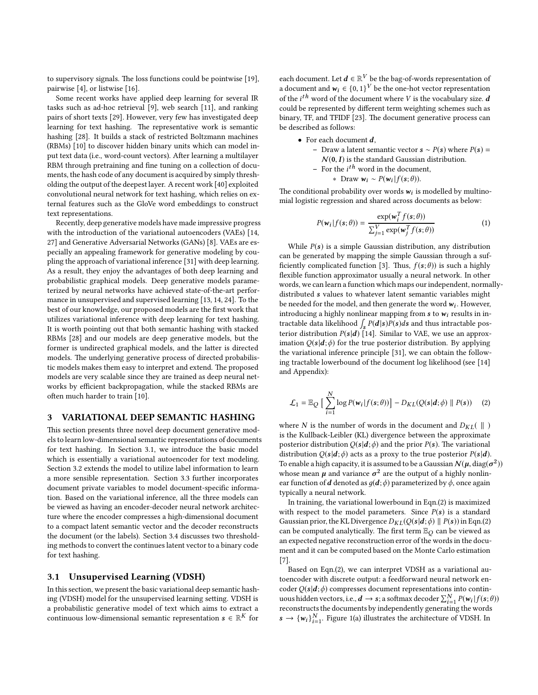to supervisory signals. The loss functions could be pointwise  $[19]$ , pairwise [\[4\]](#page-9-11), or listwise [\[16\]](#page-9-12).

Some recent works have applied deep learning for several IR tasks such as ad-hoc retrieval [\[9\]](#page-9-14), web search [\[11](#page-9-15)], and ranking pairs of short texts [\[29](#page-10-8)]. However, very few has investigated deep learning for text hashing. The representative work is semantic hashing [\[28](#page-9-1)]. It builds a stack of restricted Boltzmann machines (RBMs) [\[10\]](#page-9-16) to discover hidden binary units which can model input text data (i.e., word-count vectors). After learning a multilayer RBM through pretraining and fine tuning on a collection of documents, the hash code of any document is acquired by simply thresholding the output of the deepest layer. A recent work [\[40\]](#page-10-9) exploited convolutional neural network for text hashing, which relies on external features such as the GloVe word embeddings to construct text representations.

Recently, deep generative models have made impressive progress with the introduction of the variational autoencoders (VAEs) [\[14](#page-9-3), [27](#page-9-4)] and Generative Adversarial Networks (GANs) [\[8\]](#page-9-17). VAEs are especially an appealing framework for generative modeling by coupling the approach of variational inference [\[31\]](#page-10-10) with deep learning. As a result, they enjoy the advantages of both deep learning and probabilistic graphical models. Deep generative models parameterized by neural networks have achieved state-of-the-art performance in unsupervised and supervised learning [\[13,](#page-9-18) [14,](#page-9-3) [24\]](#page-9-19). To the best of our knowledge, our proposed models are the first work that utilizes variational inference with deep learning for text hashing. It is worth pointing out that both semantic hashing with stacked RBMs [\[28](#page-9-1)] and our models are deep generative models, but the former is undirected graphical models, and the latter is directed models. The underlying generative process of directed probabilistic models makes them easy to interpret and extend. The proposed models are very scalable since they are trained as deep neural networks by efficient backpropagation, while the stacked RBMs are often much harder to train [\[10\]](#page-9-16).

## 3 VARIATIONAL DEEP SEMANTIC HASHING

This section presents three novel deep document generative models to learn low-dimensional semantic representations of documents for text hashing. In Section [3.1,](#page-2-0) we introduce the basic model which is essentially a variational autoencoder for text modeling. Section [3.2](#page-3-0) extends the model to utilize label information to learn a more sensible representation. Section [3.3](#page-4-0) further incorporates document private variables to model document-specific information. Based on the variational inference, all the three models can be viewed as having an encoder-decoder neural network architecture where the encoder compresses a high-dimensional document to a compact latent semantic vector and the decoder reconstructs the document (or the labels). Section [3.4](#page-4-1) discusses two thresholding methods to convert the continues latent vector to a binary code for text hashing.

#### <span id="page-2-0"></span>3.1 Unsupervised Learning (VDSH)

In this section, we present the basic variational deep semantic hashing (VDSH) model for the unsupervised learning setting. VDSH is a probabilistic generative model of text which aims to extract a continuous low-dimensional semantic representation  $s \in \mathbb{R}^K$  for

each document. Let  $\boldsymbol{d} \in \mathbb{R}^V$  be the bag-of-words representation of a document and  $w_i \in \{0,1\}^V$  be the one-hot vector representation of the  $i^{th}$  word of the document where V is the vocabulary size.  $d$ could be represented by different term weighting schemes such as binary, TF, and TFIDF [\[23](#page-9-20)]. The document generative process can be described as follows:

- For each document  $d$ ,
	- Draw a latent semantic vector  $s \sim P(s)$  where  $P(s)$  =  $N(0, I)$  is the standard Gaussian distribution. - For the  $i^{th}$  word in the document,

\* Draw 
$$
\mathbf{w}_i \sim P(\mathbf{w}_i | f(\mathbf{s}; \theta)).
$$

The conditional probability over words  $w_i$  is modelled by multinomial logistic regression and shared across documents as below:

$$
P(\mathbf{w}_i|f(\mathbf{s};\theta)) = \frac{\exp(\mathbf{w}_i^T f(\mathbf{s};\theta))}{\sum_{j=1}^V \exp(\mathbf{w}_j^T f(\mathbf{s};\theta))}
$$
(1)

While  $P(s)$  is a simple Gaussian distribution, any distribution can be generated by mapping the simple Gaussian through a suf-ficiently complicated function [\[3\]](#page-9-21). Thus,  $f(s; \theta)$  is such a highly flexible function approximator usually a neural network. In other words, we can learn a function which maps our independent, normallydistributed s values to whatever latent semantic variables might be needed for the model, and then generate the word  $w_i$ . However, introducing a highly nonlinear mapping from  $s$  to  $w_i$  results in intractable data likelihood  $\int_{\mathcal{S}} P(\boldsymbol{d}|\boldsymbol{s}) P(\boldsymbol{s}) d\boldsymbol{s}$  and thus intractable posterior distribution  $P(s|d)$  [\[14\]](#page-9-3). Similar to VAE, we use an approximation  $Q(s|d;\phi)$  for the true posterior distribution. By applying the variational inference principle [\[31\]](#page-10-10), we can obtain the following tractable lowerbound of the document log likelihood (see [\[14\]](#page-9-3) and Appendix):

<span id="page-2-1"></span>
$$
\mathcal{L}_1 = \mathbb{E}_{Q} \left[ \sum_{i=1}^{N} \log P(\mathbf{w}_i | f(\mathbf{s}; \theta)) \right] - D_{KL}(Q(\mathbf{s} | \mathbf{d}; \phi) \parallel P(\mathbf{s})) \tag{2}
$$

where N is the number of words in the document and  $D_{KL}(\parallel \ )$ is the Kullback-Leibler (KL) divergence between the approximate posterior distribution  $Q(s|d;\phi)$  and the prior  $P(s)$ . The variational distribution  $Q(s|d;\phi)$  acts as a proxy to the true posterior  $P(s|d)$ . To enable a high capacity, it is assumed to be a Gaussian  $\mathcal{N}(\mu, \text{diag}(\sigma^2))$ whose mean  $\mu$  and variance  $\sigma^2$  are the output of a highly nonlinear function of  $\boldsymbol{d}$  denoted as  $g(\boldsymbol{d};\phi)$  parameterized by  $\phi$ , once again typically a neural network.

In training, the variational lowerbound in Eqn.[\(2\)](#page-2-1) is maximized with respect to the model parameters. Since  $P(s)$  is a standard Gaussian prior, the KL Divergence  $D_{KL}(Q(s|d;\phi) \parallel P(s))$  in Eqn.[\(2\)](#page-2-1) can be computed analytically. The first term  $\mathbb{E}_Q$  can be viewed as an expected negative reconstruction error of the words in the document and it can be computed based on the Monte Carlo estimation [\[7](#page-9-22)].

Based on Eqn.[\(2\)](#page-2-1), we can interpret VDSH as a variational autoencoder with discrete output: a feedforward neural network encoder  $Q(s|d;\phi)$  compresses document representations into continuous hidden vectors, i.e.,  $d \to s$ ; a softmax decoder  $\sum_{i=1}^{N} P(\mathbf{w}_i | f(\mathbf{s}; \theta))$ reconstructs the documents by independently generating the words  $\mathbf{s} \to \{\mathbf{w}_i\}_{i=1}^N$ . Figure [1\(](#page-3-1)a) illustrates the architecture of VDSH. In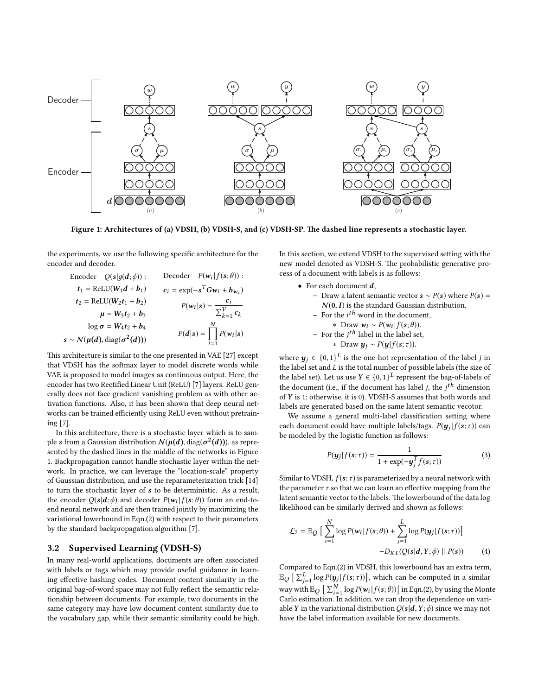<span id="page-3-1"></span>

Figure 1: Architectures of (a) VDSH, (b) VDSH-S, and (c) VDSH-SP. The dashed line represents a stochastic layer.

the experiments, we use the following specific architecture for the encoder and decoder.

Encoder 
$$
Q(s|g(d; \phi))
$$
: \n

\nDecoder  $P(w_i|f(s; \theta))$ : \n

\n $t_1 = \text{ReLU}(W_1d + b_1)$  \n

\n $c_i = \exp(-s^T Gw_i + b_{w_i})$  \n

\n $t_2 = \text{ReLU}(W_2t_1 + b_2)$  \n

\n $\mu = W_3t_2 + b_3$  \n

\n $\log \sigma = W_4t_2 + b_4$  \n

\n $s \sim N(\mu(d), \text{diag}(\sigma^2(d)))$  \n

\n $P(d|s) = \prod_{i=1}^{N} P(w_i|s)$ 

This architecture is similar to the one presented in VAE [\[27](#page-9-4)] except that VDSH has the softmax layer to model discrete words while VAE is proposed to model images as continuous output. Here, the encoder has two Rectified Linear Unit (ReLU) [\[7](#page-9-22)] layers. ReLU generally does not face gradient vanishing problem as with other activation functions. Also, it has been shown that deep neural networks can be trained efficiently using ReLU even without pretraining [\[7](#page-9-22)].

In this architecture, there is a stochastic layer which is to sample  $s$  from a Gaussian distribution  $\mathcal{N}(\mu(d), \text{diag}(\sigma^2(d)))$ , as represented by the dashed lines in the middle of the networks in Figure [1.](#page-3-1) Backpropagation cannot handle stochastic layer within the network. In practice, we can leverage the "location-scale" property of Gaussian distribution, and use the reparameterization trick [\[14\]](#page-9-3) to turn the stochastic layer of s to be deterministic. As a result, the encoder  $Q(s|d;\phi)$  and decoder  $P(w_i|f(s;\theta))$  form an end-toend neural network and are then trained jointly by maximizing the variational lowerbound in Eqn.[\(2\)](#page-2-1) with respect to their parameters by the standard backpropagation algorithm [\[7](#page-9-22)].

## <span id="page-3-0"></span>3.2 Supervised Learning (VDSH-S)

In many real-world applications, documents are often associated with labels or tags which may provide useful guidance in learning effective hashing codes. Document content similarity in the original bag-of-word space may not fully reflect the semantic relationship between documents. For example, two documents in the same category may have low document content similarity due to the vocabulary gap, while their semantic similarity could be high.

In this section, we extend VDSH to the supervised setting with the new model denoted as VDSH-S. The probabilistic generative process of a document with labels is as follows:

| • For each document $d$ ,                                    |
|--------------------------------------------------------------|
| - Draw a latent semantic vector $s \sim P(s)$ where $P(s)$ = |
| $\mathcal{N}(0, I)$ is the standard Gaussian distribution.   |
| - For the $i^{th}$ word in the document,                     |
| * Draw $w_i \sim P(w_i   f(s; \theta)).$                     |
| - For the $j^{th}$ label in the label set,                   |
| * Draw $\mathbf{y}_i \sim P(\mathbf{y} f(\mathbf{s};\tau)).$ |
|                                                              |

where  $\mathbf{y}_j \in \{0,1\}^L$  is the one-hot representation of the label  $j$  in the label set and  $L$  is the total number of possible labels (the size of the label set). Let us use  $Y \in \{0,1\}^L$  represent the bag-of-labels of the document (i.e., if the document has label  $j$ , the  $j^{th}$  dimension of Y is 1; otherwise, it is 0). VDSH-S assumes that both words and labels are generated based on the same latent semantic vecotor.

We assume a general multi-label classification setting where each document could have multiple labels/tags.  $P(\bm{y}_j|f(\bm{s};\tau))$  can be modeled by the logistic function as follows:

$$
P(\mathbf{y}_j|f(\mathbf{s};\tau)) = \frac{1}{1 + \exp(-\mathbf{y}_j^T f(\mathbf{s};\tau))}
$$
(3)

Similar to VDSH,  $f(s; \tau)$  is parameterized by a neural network with the parameter  $\tau$  so that we can learn an effective mapping from the latent semantic vector to the labels. The lowerbound of the data log likelihood can be similarly derived and shown as follows:

<span id="page-3-2"></span>
$$
\mathcal{L}_2 = \mathbb{E}_{Q} \left[ \sum_{i=1}^{N} \log P(\mathbf{w}_i | f(\mathbf{s}; \theta)) + \sum_{j=1}^{L} \log P(\mathbf{y}_j | f(\mathbf{s}; \tau)) \right] -D_{KL}(Q(\mathbf{s} | \mathbf{d}, Y; \phi) \parallel P(\mathbf{s})) \tag{4}
$$

Compared to Eqn.[\(2\)](#page-2-1) in VDSH, this lowerbound has an extra term,  $\mathbb{E}_{Q}\left[\left.\sum_{j=1}^{L}\log P(\bm{y}_j|f(\bm{s};\tau))\right],$  which can be computed in a similar way with  $\mathbb{E}_Q \left[ \sum_{i=1}^N \log P(\mathbf{w}_i | f(\mathbf{s}; \theta)) \right]$  in Eqn.[\(2\)](#page-2-1), by using the Monte Carlo estimation. In addition, we can drop the dependence on variable Y in the variational distribution  $Q(s | d, Y; \phi)$  since we may not have the label information available for new documents.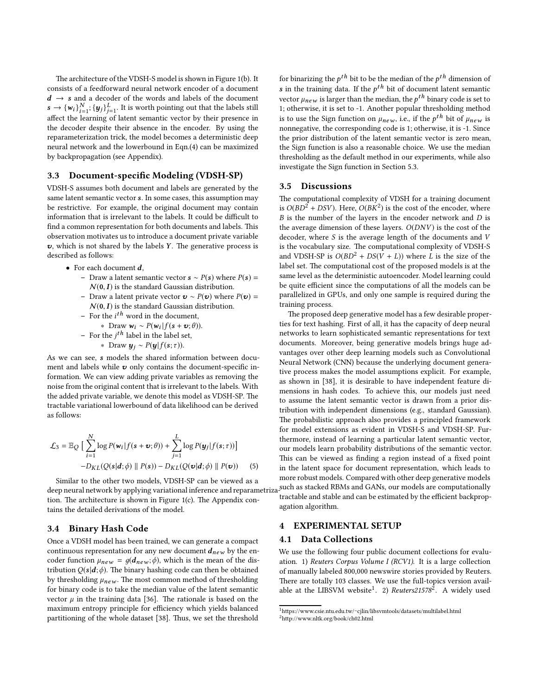The architecture of the VDSH-S model is shown in Figure [1\(](#page-3-1)b). It consists of a feedforward neural network encoder of a document  $d \rightarrow s$  and a decoder of the words and labels of the document  $\bm{s} \rightarrow \{\bm{w}_i\}_{i=1}^N; \{\bm{y}_j\}_{j=1}^L.$  It is worth pointing out that the labels still affect the learning of latent semantic vector by their presence in the decoder despite their absence in the encoder. By using the reparameterization trick, the model becomes a deterministic deep neural network and the lowerbound in Eqn.[\(4\)](#page-3-2) can be maximized by backpropagation (see Appendix).

## <span id="page-4-0"></span>3.3 Document-specific Modeling (VDSH-SP)

VDSH-S assumes both document and labels are generated by the same latent semantic vector s. In some cases, this assumption may be restrictive. For example, the original document may contain information that is irrelevant to the labels. It could be difficult to find a common representation for both documents and labels. This observation motivates us to introduce a document private variable  $v$ , which is not shared by the labels Y. The generative process is described as follows:

- For each document  $d$ ,
	- Draw a latent semantic vector  $s \sim P(s)$  where  $P(s)$  =  $N(0, I)$  is the standard Gaussian distribution.
	- Draw a latent private vector  $\mathbf{v} \sim P(\mathbf{v})$  where  $P(\mathbf{v}) =$  $N(0, I)$  is the standard Gaussian distribution.
	- For the  $i^{th}$  word in the document,

\* Draw 
$$
w_i \sim P(w_i | f(s + \mathbf{v}; \theta))
$$
.

- For the 
$$
j^{th}
$$
 label in the label set,

or the 
$$
f
$$
 =  $\text{Table 1 II}$  the factor of the

$$
\ast \text{ Draw } \mathbf{y}_j \sim F(\mathbf{y}|j(\mathbf{s};t)).
$$

As we can see, s models the shared information between document and labels while  $v$  only contains the document-specific information. We can view adding private variables as removing the noise from the original content that is irrelevant to the labels. With the added private variable, we denote this model as VDSH-SP. The tractable variational lowerbound of data likelihood can be derived as follows:

<span id="page-4-4"></span>
$$
\mathcal{L}_3 = \mathbb{E}_{Q} \left[ \sum_{i=1}^{N} \log P(\mathbf{w}_i | f(\mathbf{s} + \mathbf{v}; \theta)) + \sum_{j=1}^{L} \log P(\mathbf{y}_j | f(\mathbf{s}; \tau)) \right] -D_{KL}(Q(\mathbf{s} | \mathbf{d}; \phi) \parallel P(\mathbf{s})) - D_{KL}(Q(\mathbf{v} | \mathbf{d}; \phi) \parallel P(\mathbf{v})) \tag{5}
$$

Similar to the other two models, VDSH-SP can be viewed as a deep neural network by applying variational inference and reparametriza-tion. The architecture is shown in Figure [1\(](#page-3-1)c). The Appendix contains the detailed derivations of the model.

# <span id="page-4-1"></span>3.4 Binary Hash Code

Once a VDSH model has been trained, we can generate a compact continuous representation for any new document  $d_{new}$  by the encoder function  $\mu_{new} = g(d_{new}; \phi)$ , which is the mean of the distribution  $Q(s|d;\phi)$ . The binary hashing code can then be obtained by thresholding  $\mu_{new}$ . The most common method of thresholding for binary code is to take the median value of the latent semantic vector  $\mu$  in the training data [\[36\]](#page-10-3). The rationale is based on the maximum entropy principle for efficiency which yields balanced partitioning of the whole dataset [\[38\]](#page-10-2). Thus, we set the threshold

for binarizing the  $p^{th}$  bit to be the median of the  $p^{th}$  dimension of s in the training data. If the  $p^{th}$  bit of document latent semantic vector  $\mu_{\boldsymbol{n}\boldsymbol{e}\,\boldsymbol{w}}$  is larger than the median, the  $p^{th}$  binary code is set to 1; otherwise, it is set to -1. Another popular thresholding method is to use the Sign function on  $\mu_{new}$ , i.e., if the  $p^{th}$  bit of  $\mu_{new}$  is nonnegative, the corresponding code is 1; otherwise, it is -1. Since the prior distribution of the latent semantic vector is zero mean, the Sign function is also a reasonable choice. We use the median thresholding as the default method in our experiments, while also investigate the Sign function in Section [5.3.](#page-7-0)

#### 3.5 Discussions

The computational complexity of VDSH for a training document is  $O(BD^2 + DSV)$ . Here,  $O(BK^2)$  is the cost of the encoder, where  $B$  is the number of the layers in the encoder network and  $D$  is the average dimension of these layers.  $O(DNV)$  is the cost of the decoder, where S is the average length of the documents and V is the vocabulary size. The computational complexity of VDSH-S and VDSH-SP is  $O(BD^2 + DS(V + L))$  where L is the size of the label set. The computational cost of the proposed models is at the same level as the deterministic autoencoder. Model learning could be quite efficient since the computations of all the models can be parallelized in GPUs, and only one sample is required during the training process.

The proposed deep generative model has a few desirable properties for text hashing. First of all, it has the capacity of deep neural networks to learn sophisticated semantic representations for text documents. Moreover, being generative models brings huge advantages over other deep learning models such as Convolutional Neural Network (CNN) because the underlying document generative process makes the model assumptions explicit. For example, as shown in [\[38](#page-10-2)], it is desirable to have independent feature dimensions in hash codes. To achieve this, our models just need to assume the latent semantic vector is drawn from a prior distribution with independent dimensions (e.g., standard Gaussian). The probabilistic approach also provides a principled framework for model extensions as evident in VDSH-S and VDSH-SP. Furthermore, instead of learning a particular latent semantic vector, our models learn probability distributions of the semantic vector. This can be viewed as finding a region instead of a fixed point in the latent space for document representation, which leads to more robust models. Compared with other deep generative models such as stacked RBMs and GANs, our models are computationally tractable and stable and can be estimated by the efficient backpropagation algorithm.

## 4 EXPERIMENTAL SETUP

#### 4.1 Data Collections

We use the following four public document collections for evaluation. 1) Reuters Corpus Volume I (RCV1). It is a large collection of manually labeled 800,000 newswire stories provided by Reuters. There are totally 103 classes. We use the full-topics version avail-able at the LIBSVM website<sup>[1](#page-4-2)</sup>. [2](#page-4-3)) Reuters21578<sup>2</sup>. A widely used

<span id="page-4-3"></span><span id="page-4-2"></span><sup>1</sup>hps://www.csie.ntu.edu.tw/∼[cjlin/libsvmtools/datasets/multilabel.html](https://www.csie.ntu.edu.tw/~cjlin/libsvmtools/datasets/multilabel.html) <sup>2</sup>[hp://www.nltk.org/book/ch02.html](http://www.nltk.org/book/ch02.html)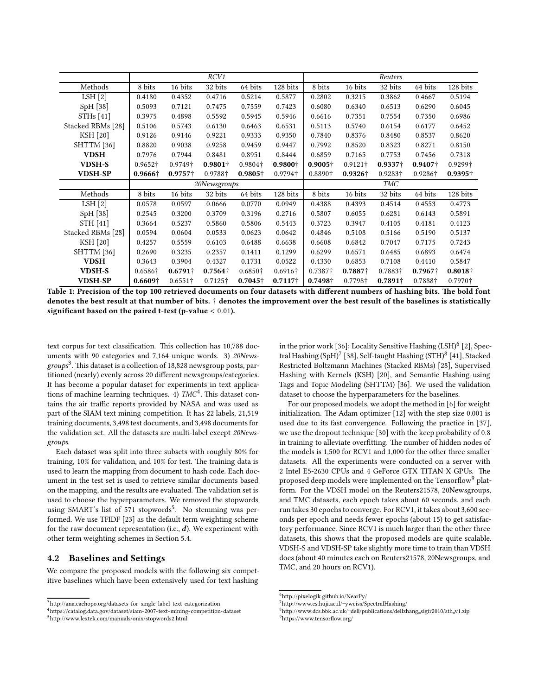<span id="page-5-7"></span>

|                   | RCV1            |                 |                 | Reuters         |                 |                 |                 |                 |                 |                 |
|-------------------|-----------------|-----------------|-----------------|-----------------|-----------------|-----------------|-----------------|-----------------|-----------------|-----------------|
| Methods           | 8 bits          | 16 bits         | 32 bits         | 64 bits         | 128 bits        | 8 bits          | 16 bits         | 32 bits         | 64 bits         | 128 bits        |
| LSH $[2]$         | 0.4180          | 0.4352          | 0.4716          | 0.5214          | 0.5877          | 0.2802          | 0.3215          | 0.3862          | 0.4667          | 0.5194          |
| SpH [38]          | 0.5093          | 0.7121          | 0.7475          | 0.7559          | 0.7423          | 0.6080          | 0.6340          | 0.6513          | 0.6290          | 0.6045          |
| STHs [41]         | 0.3975          | 0.4898          | 0.5592          | 0.5945          | 0.5946          | 0.6616          | 0.7351          | 0.7554          | 0.7350          | 0.6986          |
| Stacked RBMs [28] | 0.5106          | 0.5743          | 0.6130          | 0.6463          | 0.6531          | 0.5113          | 0.5740          | 0.6154          | 0.6177          | 0.6452          |
| <b>KSH [20]</b>   | 0.9126          | 0.9146          | 0.9221          | 0.9333          | 0.9350          | 0.7840          | 0.8376          | 0.8480          | 0.8537          | 0.8620          |
| SHTTM [36]        | 0.8820          | 0.9038          | 0.9258          | 0.9459          | 0.9447          | 0.7992          | 0.8520          | 0.8323          | 0.8271          | 0.8150          |
| <b>VDSH</b>       | 0.7976          | 0.7944          | 0.8481          | 0.8951          | 0.8444          | 0.6859          | 0.7165          | 0.7753          | 0.7456          | 0.7318          |
| <b>VDSH-S</b>     | $0.9652\dagger$ | 0.9749†         | $0.9801\dagger$ | 0.9804†         | $0.9800\dagger$ | $0.9005\dagger$ | $0.9121\dagger$ | $0.9337\dagger$ | $0.9407\dagger$ | 0.9299†         |
| <b>VDSH-SP</b>    | 0.9666†         | $0.9757\dagger$ | 0.9788+         | $0.9805\dagger$ | 0.9794†         | 0.8890+         | $0.9326\dagger$ | 0.9283†         | 0.9286†         | $0.9395\dagger$ |
|                   |                 |                 |                 |                 |                 |                 |                 |                 |                 |                 |
|                   |                 |                 | 20Newsgroups    |                 |                 |                 |                 | <b>TMC</b>      |                 |                 |
| Methods           | 8 bits          | 16 bits         | 32 bits         | 64 bits         | 128 bits        | 8 bits          | 16 bits         | 32 bits         | 64 bits         | 128 bits        |
| LSH $[2]$         | 0.0578          | 0.0597          | 0.0666          | 0.0770          | 0.0949          | 0.4388          | 0.4393          | 0.4514          | 0.4553          | 0.4773          |
| SpH[38]           | 0.2545          | 0.3200          | 0.3709          | 0.3196          | 0.2716          | 0.5807          | 0.6055          | 0.6281          | 0.6143          | 0.5891          |
| STH[41]           | 0.3664          | 0.5237          | 0.5860          | 0.5806          | 0.5443          | 0.3723          | 0.3947          | 0.4105          | 0.4181          | 0.4123          |
| Stacked RBMs [28] | 0.0594          | 0.0604          | 0.0533          | 0.0623          | 0.0642          | 0.4846          | 0.5108          | 0.5166          | 0.5190          | 0.5137          |
| <b>KSH</b> [20]   | 0.4257          | 0.5559          | 0.6103          | 0.6488          | 0.6638          | 0.6608          | 0.6842          | 0.7047          | 0.7175          | 0.7243          |
| SHTTM [36]        | 0.2690          | 0.3235          | 0.2357          | 0.1411          | 0.1299          | 0.6299          | 0.6571          | 0.6485          | 0.6893          | 0.6474          |
| <b>VDSH</b>       | 0.3643          | 0.3904          | 0.4327          | 0.1731          | 0.0522          | 0.4330          | 0.6853          | 0.7108          | 0.4410          | 0.5847          |
| <b>VDSH-S</b>     | $0.6586\dagger$ | $0.6791\dagger$ | $0.7564\dagger$ | 0.6850+         | $0.6916\dagger$ | 0.7387†         | $0.7887\dagger$ | 0.7883†         | $0.7967\dagger$ | $0.8018\dagger$ |

Table 1: Precision of the top 100 retrieved documents on four datasets with different numbers of hashing bits. The bold font denotes the best result at that number of bits. † denotes the improvement over the best result of the baselines is statistically significant based on the paired t-test (p-value  $< 0.01$ ).

text corpus for text classification. This collection has 10,788 documents with 90 categories and 7,164 unique words. 3) 20News-groups<sup>[3](#page-5-0)</sup>. This dataset is a collection of 18,828 newsgroup posts, partitioned (nearly) evenly across 20 different newsgroups/categories. It has become a popular dataset for experiments in text applica-tions of machine learning techniques. [4](#page-5-1))  $TMC<sup>4</sup>$ . This dataset contains the air traffic reports provided by NASA and was used as part of the SIAM text mining competition. It has 22 labels, 21,519 training documents, 3,498 test documents, and 3,498 documents for the validation set. All the datasets are multi-label except 20Newsgroups.

Each dataset was split into three subsets with roughly 80% for training,  $10\%$  for validation, and  $10\%$  for test. The training data is used to learn the mapping from document to hash code. Each document in the test set is used to retrieve similar documents based on the mapping, and the results are evaluated. The validation set is used to choose the hyperparameters. We removed the stopwords using SMART's list of [5](#page-5-2)71 stopwords<sup>5</sup>. No stemming was performed. We use TFIDF [\[23\]](#page-9-20) as the default term weighting scheme for the raw document representation (i.e.,  $d$ ). We experiment with other term weighting schemes in Section [5.4.](#page-7-1)

## 4.2 Baselines and Settings

We compare the proposed models with the following six competitive baselines which have been extensively used for text hashing

in the prior work [\[36\]](#page-10-3): Locality Sensitive Hashing (LSH)<sup>[6](#page-5-3)</sup> [\[2\]](#page-9-6), Spectral Hashing (SpH) $^7$  $^7$  [\[38\]](#page-10-2), Self-taught Hashing (STH) $^8$  $^8$  [\[41\]](#page-10-4), Stacked Restricted Boltzmann Machines (Stacked RBMs) [\[28\]](#page-9-1), Supervised Hashing with Kernels (KSH) [\[20\]](#page-9-9), and Semantic Hashing using Tags and Topic Modeling (SHTTM) [\[36\]](#page-10-3). We used the validation dataset to choose the hyperparameters for the baselines.

For our proposed models, we adopt the method in [\[6\]](#page-9-23) for weight initialization. The Adam optimizer  $[12]$  with the step size 0.001 is used due to its fast convergence. Following the practice in [\[37](#page-10-11)], we use the dropout technique [\[30](#page-10-12)] with the keep probability of 0.8 in training to alleviate overfitting. The number of hidden nodes of the models is 1,500 for RCV1 and 1,000 for the other three smaller datasets. All the experiments were conducted on a server with 2 Intel E5-2630 CPUs and 4 GeForce GTX TITAN X GPUs. The proposed deep models were implemented on the Tensorflow<sup>[9](#page-5-6)</sup> platform. For the VDSH model on the Reuters21578, 20Newsgroups, and TMC datasets, each epoch takes about 60 seconds, and each run takes 30 epochs to converge. For RCV1, it takes about 3,600 seconds per epoch and needs fewer epochs (about 15) to get satisfactory performance. Since RCV1 is much larger than the other three datasets, this shows that the proposed models are quite scalable. VDSH-S and VDSH-SP take slightly more time to train than VDSH does (about 40 minutes each on Reuters21578, 20Newsgroups, and TMC, and 20 hours on RCV1).

 $^3$ http://ana.cachopo.org/datasets-for-single-label-text-categorization

<span id="page-5-0"></span><sup>&</sup>lt;sup>4</sup>https://catalog.data.gov/dataset/siam-2007-text-mining-competition-dataset

<span id="page-5-2"></span><span id="page-5-1"></span> $5$ http://www.lextek.com/manuals/onix/stopwords2.html

 $6$ http://pixelogik.github.io/NearPy/

<span id="page-5-3"></span><sup>&</sup>lt;sup>7</sup>http://www.cs.huji.ac.il/∼[yweiss/SpectralHashing/](http://www.cs.huji.ac.il/~yweiss/SpectralHashing/)

<span id="page-5-6"></span><span id="page-5-5"></span><span id="page-5-4"></span><sup>8</sup>http://www.dcs.bbk.ac.uk/~[dell/publications/dellzhang](http://www.dcs.bbk.ac.uk/~dell/publications/dellzhang_sigir2010/sth_v1.zip)\_sigir2010/sth\_v1.zip  $9$ https://www.tensorflow.org/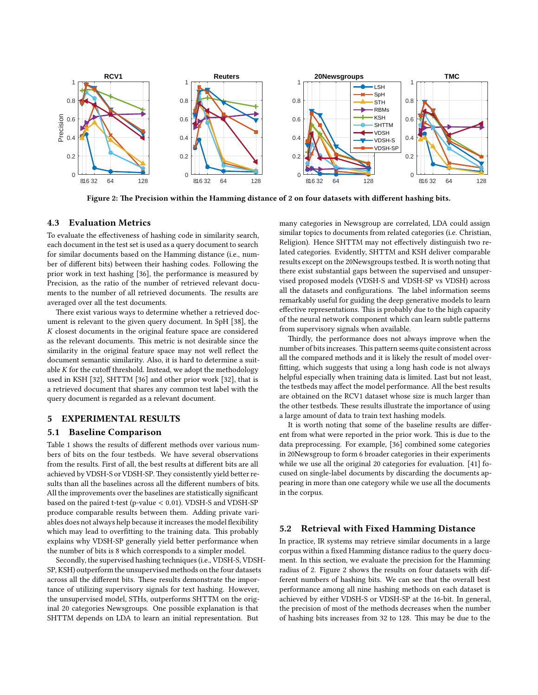<span id="page-6-0"></span>

Figure 2: The Precision within the Hamming distance of 2 on four datasets with different hashing bits.

# 4.3 Evaluation Metrics

To evaluate the effectiveness of hashing code in similarity search, each document in the test set is used as a query document to search for similar documents based on the Hamming distance (i.e., number of different bits) between their hashing codes. Following the prior work in text hashing [\[36\]](#page-10-3), the performance is measured by Precision, as the ratio of the number of retrieved relevant documents to the number of all retrieved documents. The results are averaged over all the test documents.

There exist various ways to determine whether a retrieved document is relevant to the given query document. In SpH [\[38\]](#page-10-2), the K closest documents in the original feature space are considered as the relevant documents. This metric is not desirable since the similarity in the original feature space may not well reflect the document semantic similarity. Also, it is hard to determine a suitable  $K$  for the cutoff threshold. Instead, we adopt the methodology used in KSH [\[32\]](#page-10-6), SHTTM [\[36\]](#page-10-3) and other prior work [\[32](#page-10-6)], that is a retrieved document that shares any common test label with the query document is regarded as a relevant document.

# 5 EXPERIMENTAL RESULTS

#### 5.1 Baseline Comparison

Table [1](#page-5-7) shows the results of different methods over various numbers of bits on the four testbeds. We have several observations from the results. First of all, the best results at different bits are all achieved by VDSH-S or VDSH-SP. They consistently yield better results than all the baselines across all the different numbers of bits. All the improvements over the baselines are statistically significant based on the paired t-test (p-value < 0.01). VDSH-S and VDSH-SP produce comparable results between them. Adding private variables does not always help because it increases the model flexibility which may lead to overfitting to the training data. This probably explains why VDSH-SP generally yield better performance when the number of bits is 8 which corresponds to a simpler model.

Secondly, the supervised hashing techniques (i.e., VDSH-S, VDSH-SP, KSH) outperform the unsupervised methods on the four datasets across all the different bits. These results demonstrate the importance of utilizing supervisory signals for text hashing. However, the unsupervised model, STHs, outperforms SHTTM on the original 20 categories Newsgroups. One possible explanation is that SHTTM depends on LDA to learn an initial representation. But

many categories in Newsgroup are correlated, LDA could assign similar topics to documents from related categories (i.e. Christian, Religion). Hence SHTTM may not effectively distinguish two related categories. Evidently, SHTTM and KSH deliver comparable results except on the 20Newsgroups testbed. It is worth noting that there exist substantial gaps between the supervised and unsupervised proposed models (VDSH-S and VDSH-SP vs VDSH) across all the datasets and configurations. The label information seems remarkably useful for guiding the deep generative models to learn effective representations. This is probably due to the high capacity of the neural network component which can learn subtle patterns from supervisory signals when available.

Thirdly, the performance does not always improve when the number of bits increases. This pattern seems quite consistent across all the compared methods and it is likely the result of model overfitting, which suggests that using a long hash code is not always helpful especially when training data is limited. Last but not least, the testbeds may affect the model performance. All the best results are obtained on the RCV1 dataset whose size is much larger than the other testbeds. These results illustrate the importance of using a large amount of data to train text hashing models.

It is worth noting that some of the baseline results are different from what were reported in the prior work. This is due to the data preprocessing. For example, [\[36\]](#page-10-3) combined some categories in 20Newsgroup to form 6 broader categories in their experiments while we use all the original 20 categories for evaluation. [\[41\]](#page-10-4) focused on single-label documents by discarding the documents appearing in more than one category while we use all the documents in the corpus.

## 5.2 Retrieval with Fixed Hamming Distance

In practice, IR systems may retrieve similar documents in a large corpus within a fixed Hamming distance radius to the query document. In this section, we evaluate the precision for the Hamming radius of 2. Figure [2](#page-6-0) shows the results on four datasets with different numbers of hashing bits. We can see that the overall best performance among all nine hashing methods on each dataset is achieved by either VDSH-S or VDSH-SP at the 16-bit. In general, the precision of most of the methods decreases when the number of hashing bits increases from 32 to 128. This may be due to the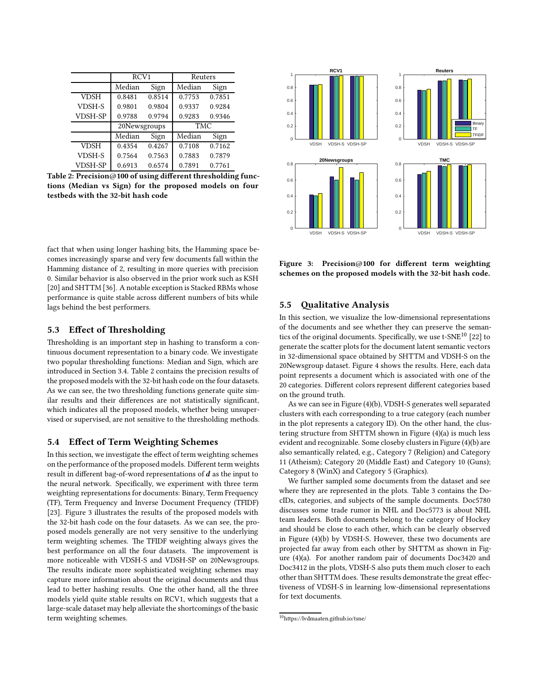<span id="page-7-2"></span>

|                | RCV1         |        | Reuters    |        |  |
|----------------|--------------|--------|------------|--------|--|
|                | Median       | Sign   | Median     | Sign   |  |
| <b>VDSH</b>    | 0.8481       | 0.8514 | 0.7753     | 0.7851 |  |
| VDSH-S         | 0.9801       | 0.9804 | 0.9337     | 0.9284 |  |
| <b>VDSH-SP</b> | 0.9788       | 0.9794 | 0.9283     | 0.9346 |  |
|                | 20Newsgroups |        | <b>TMC</b> |        |  |
|                | Median       |        |            |        |  |
|                |              | Sign   | Median     | Sign   |  |
| <b>VDSH</b>    | 0.4354       | 0.4267 | 0.7108     | 0.7162 |  |
| VDSH-S         | 0.7564       | 0.7563 | 0.7883     | 0.7879 |  |

Table 2: Precision@100 of using different thresholding functions (Median vs Sign) for the proposed models on four testbeds with the 32-bit hash code

<span id="page-7-3"></span>

fact that when using longer hashing bits, the Hamming space becomes increasingly sparse and very few documents fall within the Hamming distance of 2, resulting in more queries with precision 0. Similar behavior is also observed in the prior work such as KSH [\[20](#page-9-9)] and SHTTM [\[36\]](#page-10-3). A notable exception is Stacked RBMs whose performance is quite stable across different numbers of bits while lags behind the best performers.

# <span id="page-7-0"></span>5.3 Effect of Thresholding

Thresholding is an important step in hashing to transform a continuous document representation to a binary code. We investigate two popular thresholding functions: Median and Sign, which are introduced in Section [3.4.](#page-4-1) Table [2](#page-7-2) contains the precision results of the proposed models with the 32-bit hash code on the four datasets. As we can see, the two thresholding functions generate quite similar results and their differences are not statistically significant, which indicates all the proposed models, whether being unsupervised or supervised, are not sensitive to the thresholding methods.

# <span id="page-7-1"></span>5.4 Effect of Term Weighting Schemes

In this section, we investigate the effect of term weighting schemes on the performance of the proposed models. Different term weights result in different bag-of-word representations of  $d$  as the input to the neural network. Specifically, we experiment with three term weighting representations for documents: Binary, Term Frequency (TF), Term Frequency and Inverse Document Frequency (TFIDF) [\[23](#page-9-20)]. Figure [3](#page-7-3) illustrates the results of the proposed models with the 32-bit hash code on the four datasets. As we can see, the proposed models generally are not very sensitive to the underlying term weighting schemes. The TFIDF weighting always gives the best performance on all the four datasets. The improvement is more noticeable with VDSH-S and VDSH-SP on 20Newsgroups. The results indicate more sophisticated weighting schemes may capture more information about the original documents and thus lead to better hashing results. One the other hand, all the three models yield quite stable results on RCV1, which suggests that a large-scale dataset may help alleviate the shortcomings of the basic term weighting schemes.

Figure 3: Precision@100 for different term weighting schemes on the proposed models with the 32-bit hash code.

# 5.5 Qualitative Analysis

In this section, we visualize the low-dimensional representations of the documents and see whether they can preserve the semantics of the original documents. Specifically, we use t-SNE[10](#page-7-4) [\[22\]](#page-9-25) to generate the scatter plots for the document latent semantic vectors in 32-dimensional space obtained by SHTTM and VDSH-S on the 20Newsgroup dataset. Figure [4](#page-8-0) shows the results. Here, each data point represents a document which is associated with one of the 20 categories. Different colors represent different categories based on the ground truth.

As we can see in Figure [\(4\)](#page-8-0)(b), VDSH-S generates well separated clusters with each corresponding to a true category (each number in the plot represents a category ID). On the other hand, the clustering structure from SHTTM shown in Figure [\(4\)](#page-8-0)(a) is much less evident and recognizable. Some closeby clusters in Figure [\(4\)](#page-8-0)(b) are also semantically related, e.g., Category 7 (Religion) and Category 11 (Atheism); Category 20 (Middle East) and Category 10 (Guns); Category 8 (WinX) and Category 5 (Graphics).

We further sampled some documents from the dataset and see where they are represented in the plots. Table [3](#page-8-1) contains the DocIDs, categories, and subjects of the sample documents. Doc5780 discusses some trade rumor in NHL and Doc5773 is about NHL team leaders. Both documents belong to the category of Hockey and should be close to each other, which can be clearly observed in Figure [\(4\)](#page-8-0)(b) by VDSH-S. However, these two documents are projected far away from each other by SHTTM as shown in Figure [\(4\)](#page-8-0)(a). For another random pair of documents Doc3420 and Doc3412 in the plots, VDSH-S also puts them much closer to each other than SHTTM does. These results demonstrate the great effectiveness of VDSH-S in learning low-dimensional representations for text documents.

<span id="page-7-4"></span> $10$ https://lvdmaaten.github.io/tsne/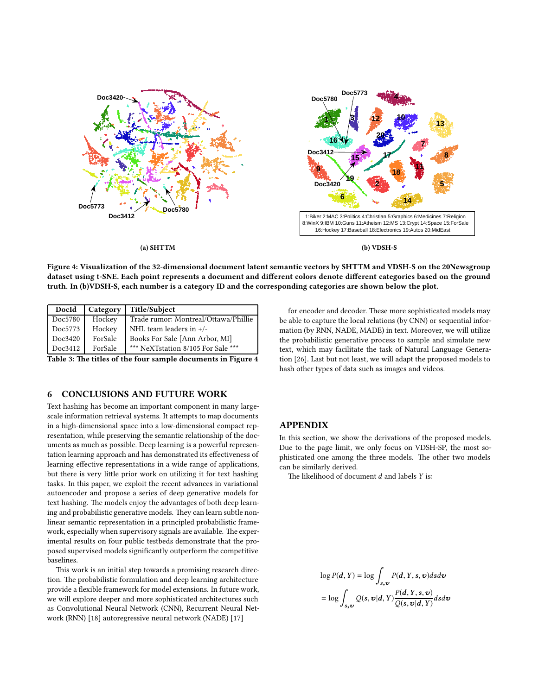<span id="page-8-0"></span>

Figure 4: Visualization of the 32-dimensional document latent semantic vectors by SHTTM and VDSH-S on the 20Newsgroup dataset using t-SNE. Each point represents a document and different colors denote different categories based on the ground truth. In (b)VDSH-S, each number is a category ID and the corresponding categories are shown below the plot.

<span id="page-8-1"></span>

| DocId   | Category | Title/Subject                        |
|---------|----------|--------------------------------------|
| Doc5780 | Hockey   | Trade rumor: Montreal/Ottawa/Phillie |
| Doc5773 | Hockey   | NHL team leaders in $+/-$            |
| Doc3420 | ForSale  | Books For Sale [Ann Arbor, MI]       |
| Doc3412 | ForSale  | *** NeXTstation 8/105 For Sale ***   |

Table 3: The titles of the four sample documents in Figure [4](#page-8-0)

## 6 CONCLUSIONS AND FUTURE WORK

Text hashing has become an important component in many largescale information retrieval systems. It attempts to map documents in a high-dimensional space into a low-dimensional compact representation, while preserving the semantic relationship of the documents as much as possible. Deep learning is a powerful representation learning approach and has demonstrated its effectiveness of learning effective representations in a wide range of applications, but there is very little prior work on utilizing it for text hashing tasks. In this paper, we exploit the recent advances in variational autoencoder and propose a series of deep generative models for text hashing. The models enjoy the advantages of both deep learning and probabilistic generative models. They can learn subtle nonlinear semantic representation in a principled probabilistic framework, especially when supervisory signals are available. The experimental results on four public testbeds demonstrate that the proposed supervised models significantly outperform the competitive baselines.

This work is an initial step towards a promising research direction. The probabilistic formulation and deep learning architecture provide a flexible framework for model extensions. In future work, we will explore deeper and more sophisticated architectures such as Convolutional Neural Network (CNN), Recurrent Neural Network (RNN) [\[18\]](#page-9-2) autoregressive neural network (NADE) [\[17\]](#page-9-26)

for encoder and decoder. These more sophisticated models may be able to capture the local relations (by CNN) or sequential information (by RNN, NADE, MADE) in text. Moreover, we will utilize the probabilistic generative process to sample and simulate new text, which may facilitate the task of Natural Language Generation [\[26](#page-9-27)]. Last but not least, we will adapt the proposed models to hash other types of data such as images and videos.

# APPENDIX

In this section, we show the derivations of the proposed models. Due to the page limit, we only focus on VDSH-SP, the most sophisticated one among the three models. The other two models can be similarly derived.

The likelihood of document  $d$  and labels  $Y$  is:

$$
\log P(d, Y) = \log \int_{s, v} P(d, Y, s, v) ds dv
$$

$$
= \log \int_{s, v} Q(s, v | d, Y) \frac{P(d, Y, s, v)}{Q(s, v | d, Y)} ds dv
$$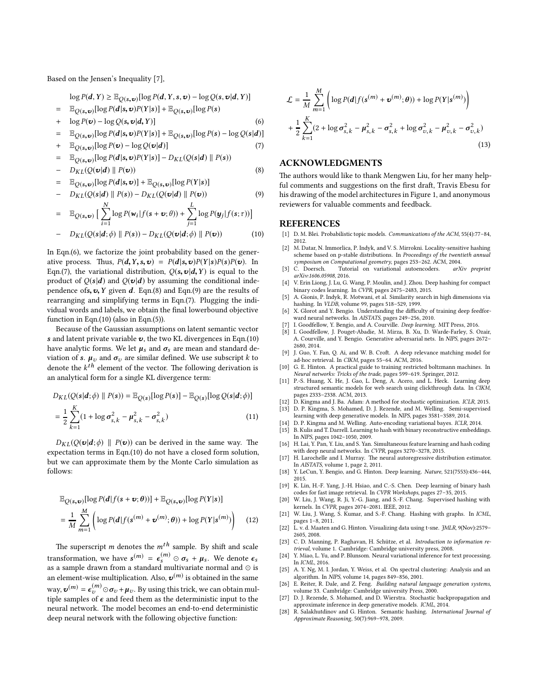<span id="page-9-28"></span>Based on the Jensen's Inequality [\[7](#page-9-22)],

$$
\log P(\boldsymbol{d}, Y) \geq \mathbb{E}_{Q(\boldsymbol{s}, \boldsymbol{v})}[\log P(\boldsymbol{d}, Y, \boldsymbol{s}, \boldsymbol{v}) - \log Q(\boldsymbol{s}, \boldsymbol{v} | \boldsymbol{d}, Y)]
$$

- $= \mathbb{E}_{Q(s,\boldsymbol{v})}[\log P(\boldsymbol{d}|s,\boldsymbol{v})P(Y|s)] + \mathbb{E}_{Q(s,\boldsymbol{v})}[\log P(s)]$
- +  $\log P(\boldsymbol{v}) \log Q(\boldsymbol{s}, \boldsymbol{v} | \boldsymbol{d}, Y)$  (6)
- $= \mathbb{E}_{Q(s, \boldsymbol{v})}[\log P(\boldsymbol{d}|s, \boldsymbol{v}) P(Y|s)] + \mathbb{E}_{Q(s, \boldsymbol{v})}[\log P(s) \log Q(s|\boldsymbol{d})]$
- +  $\mathbb{E}_{Q(s,\boldsymbol{v})}[\log P(\boldsymbol{v}) \log Q(\boldsymbol{v}|\boldsymbol{d})]$  (7)
- $=$   $\mathbb{E}_{Q(s,\boldsymbol{v})}[\log P(\boldsymbol{d}|s,\boldsymbol{v})P(Y|s)] D_{KL}(Q(s|\boldsymbol{d}) \parallel P(s))$
- $-\quad D_{KL}(Q(\boldsymbol{v}|\boldsymbol{d}) \parallel P(\boldsymbol{v}))$  (8)
- $= \mathbb{E}_{Q(s,\boldsymbol{v})}[\log P(d|s,\boldsymbol{v})] + \mathbb{E}_{Q(s,\boldsymbol{v})}[\log P(Y|s)]$
- −  $D_{KL}(Q(s|d) \parallel P(s)) D_{KL}(Q(v|d) \parallel P(v))$  (9)

$$
= \mathbb{E}_{Q(\mathbf{s},\mathbf{v})}\Big[\sum_{i=1}^N \log P(\mathbf{w}_i|f(\mathbf{s}+\mathbf{v};\theta)) + \sum_{j=1}^L \log P(\mathbf{y}_j|f(\mathbf{s};\tau))\Big] - D_{KL}(Q(\mathbf{s}|\mathbf{d};\phi) \| P(\mathbf{s})) - D_{KL}(Q(\mathbf{v}|\mathbf{d};\phi) \| P(\mathbf{v}))
$$
(10)

In Eqn.[\(6\)](#page-9-28), we factorize the joint probability based on the generative process. Thus,  $P(d, Y, s, v) = P(d | s, v)P(Y | s)P(s)P(v)$ . In Eqn.[\(7\)](#page-9-28), the variational distribution,  $Q(s, v|d, Y)$  is equal to the product of  $Q(s|d)$  and  $Q(v|d)$  by assuming the conditional independence ofs,  $v$ , Y given  $d$ . Eqn.[\(8\)](#page-9-28) and Eqn.[\(9\)](#page-9-28) are the results of rearranging and simplifying terms in Eqn.[\(7\)](#page-9-28). Plugging the individual words and labels, we obtain the final lowerbound objective function in Eqn.[\(10\)](#page-9-28) (also in Eqn.[\(5\)](#page-4-4)).

Because of the Gaussian assumptions on latent semantic vector s and latent private variable  $v$ , the two KL divergences in Eqn.[\(10\)](#page-9-28) have analytic forms. We let  $\mu_s$  and  $\sigma_s$  are mean and standard deviation of s.  $\mu_v$  and  $\sigma_v$  are similar defined. We use subscript k to denote the  $k^{th}$  element of the vector. The following derivation is an analytical form for a single KL divergence term:

$$
D_{KL}(Q(s|d; \phi) \parallel P(s)) = \mathbb{E}_{Q(s)}[\log P(s)] - \mathbb{E}_{Q(s)}[\log Q(s|d; \phi)]
$$
  
= 
$$
\frac{1}{2} \sum_{k=1}^{K} (1 + \log \sigma_{s,k}^2 - \mu_{s,k}^2 - \sigma_{s,k}^2)
$$
 (11)

 $D_{KL}(Q(\boldsymbol{v}|\boldsymbol{d};\boldsymbol{\phi}) \parallel P(\boldsymbol{v}))$  can be derived in the same way. The expectation terms in Eqn.[\(10\)](#page-9-28) do not have a closed form solution, but we can approximate them by the Monte Carlo simulation as follows:

$$
\mathbb{E}_{Q(\mathbf{s},\mathbf{v})}[\log P(\mathbf{d}|f(\mathbf{s}+\mathbf{v};\theta))] + \mathbb{E}_{Q(\mathbf{s},\mathbf{v})}[\log P(Y|\mathbf{s})]
$$
  
= 
$$
\frac{1}{M} \sum_{m=1}^{M} \left( \log P(\mathbf{d}|f(\mathbf{s}^{(m)} + \mathbf{v}^{(m)};\theta)) + \log P(Y|\mathbf{s}^{(m)}) \right)
$$
(12)

The superscript  $m$  denotes the  $m^{th}$  sample. By shift and scale transformation, we have  $s^{(m)} = \epsilon_s^{(m)} \odot \sigma_s + \mu_s$ . We denote  $\epsilon_s$ as a sample drawn from a standard multivariate normal and ⊙ is an element-wise multiplication. Also,  $\boldsymbol{v}^{(m)}$  is obtained in the same way,  $\bm{v}^{(m)}=\bm{\epsilon}^{(m)}_v\odot\bm{\sigma}_v+\bm{\mu}_v$ . By using this trick, we can obtain multiple samples of  $\epsilon$  and feed them as the deterministic input to the neural network. The model becomes an end-to-end deterministic deep neural network with the following objective function:

$$
\mathcal{L} = \frac{1}{M} \sum_{m=1}^{M} \left( \log P(\mathbf{d}|f(\mathbf{s}^{(m)} + \mathbf{v}^{(m)}; \theta)) + \log P(Y|\mathbf{s}^{(m)}) \right) + \frac{1}{2} \sum_{k=1}^{K} (2 + \log \sigma_{s,k}^{2} - \mu_{s,k}^{2} - \sigma_{s,k}^{2} + \log \sigma_{v,k}^{2} - \mu_{v,k}^{2} - \sigma_{v,k}^{2})
$$
(13)

## ACKNOWLEDGMENTS

The authors would like to thank Mengwen Liu, for her many helpful comments and suggestions on the first draft, Travis Ebesu for his drawing of the model architectures in Figure [1,](#page-3-1) and anonymous reviewers for valuable comments and feedback.

## **REFERENCES**

- <span id="page-9-5"></span>[1] D. M. Blei. Probabilistic topic models. Communications of the ACM, 55(4):77–84, 2012.
- <span id="page-9-6"></span>[2] M. Datar, N. Immorlica, P. Indyk, and V. S. Mirrokni. Locality-sensitive hashing scheme based on p-stable distributions. In Proceedings of the twentieth annual symposium on Computational geometry, pages 253–262. ACM, 2004.<br>C. Doersch. Tutorial on variational autoencoders. arXiv preprint
- <span id="page-9-21"></span>[3] C. Doersch. Tutorial on variational autoencoders. arXiv:1606.05908, 2016.
- <span id="page-9-11"></span>[4] V. Erin Liong, J. Lu, G. Wang, P. Moulin, and J. Zhou. Deep hashing for compact binary codes learning. In CVPR, pages 2475–2483, 2015.
- <span id="page-9-0"></span>[5] A. Gionis, P. Indyk, R. Motwani, et al. Similarity search in high dimensions via hashing. In VLDB, volume 99, pages 518–529, 1999.
- <span id="page-9-23"></span>[6] X. Glorot and Y. Bengio. Understanding the difficulty of training deep feedforward neural networks. In AISTATS, pages 249–256, 2010.
- <span id="page-9-22"></span>
- <span id="page-9-17"></span>[7] I. Goodfellow, Y. Bengio, and A. Courville. Deep learning. MIT Press, 2016. [8] I. Goodfellow, J. Pouget-Abadie, M. Mirza, B. Xu, D. Warde-Farley, S. Ozair, A. Courville, and Y. Bengio. Generative adversarial nets. In NIPS, pages 2672– 2680, 2014.
- <span id="page-9-14"></span>[9] J. Guo, Y. Fan, Q. Ai, and W. B. Croft. A deep relevance matching model for ad-hoc retrieval. In CIKM, pages 55–64. ACM, 2016.
- <span id="page-9-16"></span>[10] G. E. Hinton. A practical guide to training restricted boltzmann machines. In Neural networks: Tricks of the trade, pages 599–619. Springer, 2012.
- <span id="page-9-15"></span>[11] P.-S. Huang, X. He, J. Gao, L. Deng, A. Acero, and L. Heck. Learning deep structured semantic models for web search using clickthrough data. In CIKM, pages 2333–2338. ACM, 2013.
- <span id="page-9-24"></span>[12] D. Kingma and J. Ba. Adam: A method for stochastic optimization. ICLR, 2015. [13] D. P. Kingma, S. Mohamed, D. J. Rezende, and M. Welling. Semi-supervised
- <span id="page-9-18"></span>learning with deep generative models. In NIPS, pages 3581–3589, 2014. D. P. Kingma and M. Welling. Auto-encoding variational bayes. ICLR, 2014.
- <span id="page-9-10"></span><span id="page-9-3"></span>[15] B. Kulis and T. Darrell. Learning to hash with binary reconstructive embeddings. In NIPS, pages 1042–1050, 2009.
- <span id="page-9-12"></span>[16] H. Lai, Y. Pan, Y. Liu, and S. Yan. Simultaneous feature learning and hash coding with deep neural networks. In CVPR, pages 3270–3278, 2015.
- <span id="page-9-26"></span>[17] H. Larochelle and I. Murray. The neural autoregressive distribution estimator. In AISTATS, volume 1, page 2, 2011.
- <span id="page-9-2"></span>[18] Y. LeCun, Y. Bengio, and G. Hinton. Deep learning. Nature, 521(7553):436–444, 2015.
- <span id="page-9-13"></span>[19] K. Lin, H.-F. Yang, J.-H. Hsiao, and C.-S. Chen. Deep learning of binary hash codes for fast image retrieval. In CVPR Workshops, pages 27–35, 2015.
- <span id="page-9-9"></span>[20] W. Liu, J. Wang, R. Ji, Y.-G. Jiang, and S.-F. Chang. Supervised hashing with kernels. In CVPR, pages 2074–2081. IEEE, 2012.
- <span id="page-9-8"></span>[21] W. Liu, J. Wang, S. Kumar, and S.-F. Chang. Hashing with graphs. In ICML, pages 1–8, 2011.
- <span id="page-9-25"></span>[22] L. v. d. Maaten and G. Hinton. Visualizing data using t-sne. JMLR, 9(Nov):2579– 2605, 2008.
- <span id="page-9-20"></span>[23] C. D. Manning, P. Raghavan, H. Schütze, et al. Introduction to information retrieval, volume 1. Cambridge: Cambridge university press, 2008.
- <span id="page-9-19"></span>[24] Y. Miao, L. Yu, and P. Blunsom. Neural variational inference for text processing. In ICML, 2016.
- <span id="page-9-7"></span>[25] A. Y. Ng, M. I. Jordan, Y. Weiss, et al. On spectral clustering: Analysis and an algorithm. In NIPS, volume 14, pages 849–856, 2001.
- <span id="page-9-27"></span>[26] E. Reiter, R. Dale, and Z. Feng. Building natural language generation systems, volume 33. Cambridge: Cambridge university Press, 2000.
- <span id="page-9-4"></span>[27] D. J. Rezende, S. Mohamed, and D. Wierstra. Stochastic backpropagation and approximate inference in deep generative models. ICML, 2014.
- <span id="page-9-1"></span>[28] R. Salakhutdinov and G. Hinton. Semantic hashing. International Journal of Approximate Reasoning, 50(7):969–978, 2009.